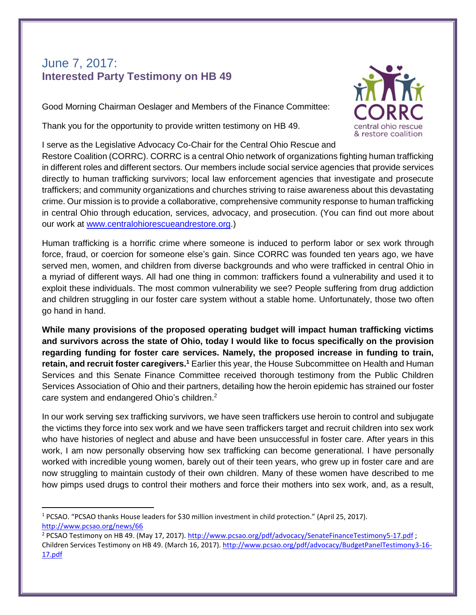## June 7, 2017: **Interested Party Testimony on HB 49**

Good Morning Chairman Oeslager and Members of the Finance Committee:

Thank you for the opportunity to provide written testimony on HB 49.

I serve as the Legislative Advocacy Co-Chair for the Central Ohio Rescue and Restore Coalition (CORRC). CORRC is a central Ohio network of organizations fighting human trafficking in different roles and different sectors. Our members include social service agencies that provide services directly to human trafficking survivors; local law enforcement agencies that investigate and prosecute traffickers; and community organizations and churches striving to raise awareness about this devastating crime. Our mission is to provide a collaborative, comprehensive community response to human trafficking in central Ohio through education, services, advocacy, and prosecution. (You can find out more about our work at [www.centralohiorescueandrestore.org.](http://www.centralohiorescueandrestore.org/))

Human trafficking is a horrific crime where someone is induced to perform labor or sex work through force, fraud, or coercion for someone else's gain. Since CORRC was founded ten years ago, we have served men, women, and children from diverse backgrounds and who were trafficked in central Ohio in a myriad of different ways. All had one thing in common: traffickers found a vulnerability and used it to exploit these individuals. The most common vulnerability we see? People suffering from drug addiction and children struggling in our foster care system without a stable home. Unfortunately, those two often go hand in hand.

**While many provisions of the proposed operating budget will impact human trafficking victims and survivors across the state of Ohio, today I would like to focus specifically on the provision regarding funding for foster care services. Namely, the proposed increase in funding to train, retain, and recruit foster caregivers.<sup>1</sup>** Earlier this year, the House Subcommittee on Health and Human Services and this Senate Finance Committee received thorough testimony from the Public Children Services Association of Ohio and their partners, detailing how the heroin epidemic has strained our foster care system and endangered Ohio's children.<sup>2</sup>

In our work serving sex trafficking survivors, we have seen traffickers use heroin to control and subjugate the victims they force into sex work and we have seen traffickers target and recruit children into sex work who have histories of neglect and abuse and have been unsuccessful in foster care. After years in this work, I am now personally observing how sex trafficking can become generational. I have personally worked with incredible young women, barely out of their teen years, who grew up in foster care and are now struggling to maintain custody of their own children. Many of these women have described to me how pimps used drugs to control their mothers and force their mothers into sex work, and, as a result,

 $\overline{\phantom{a}}$ 



<sup>1</sup> PCSAO. "PCSAO thanks House leaders for \$30 million investment in child protection." (April 25, 2017). <http://www.pcsao.org/news/66>

<sup>&</sup>lt;sup>2</sup> PCSAO Testimony on HB 49. (May 17, 2017).<http://www.pcsao.org/pdf/advocacy/SenateFinanceTestimony5-17.pdf> ; Children Services Testimony on HB 49. (March 16, 2017)[. http://www.pcsao.org/pdf/advocacy/BudgetPanelTestimony3-16-](http://www.pcsao.org/pdf/advocacy/BudgetPanelTestimony3-16-17.pdf) [17.pdf](http://www.pcsao.org/pdf/advocacy/BudgetPanelTestimony3-16-17.pdf)